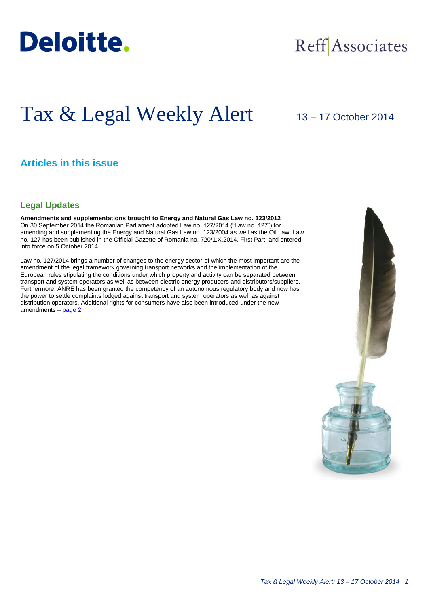

## Reff Associates

# Tax & Legal Weekly Alert

## 13 – 17 October 2014

## **Articles in this issue**

### **Legal Updates**

**Amendments and supplementations brought to Energy and Natural Gas Law no. 123/2012** On 30 September 2014 the Romanian Parliament adopted Law no. 127/2014 ("Law no. 127") for amending and supplementing the Energy and Natural Gas Law no. 123/2004 as well as the Oil Law. Law no. 127 has been published in the Official Gazette of Romania no. 720/1.X.2014, First Part, and entered into force on 5 October 2014.

Law no. 127/2014 brings a number of changes to the energy sector of which the most important are the amendment of the legal framework governing transport networks and the implementation of the European rules stipulating the conditions under which property and activity can be separated between transport and system operators as well as between electric energy producers and distributors/suppliers. Furthermore, ANRE has been granted the competency of an autonomous regulatory body and now has the power to settle complaints lodged against transport and system operators as well as against distribution operators. Additional rights for consumers have also been introduced under the new amendments – [page 2](#page-1-0)

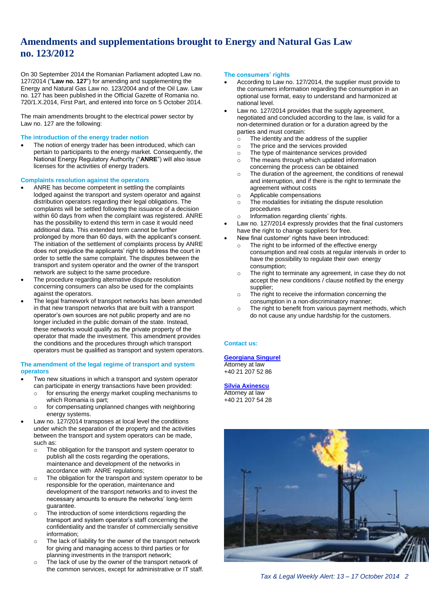## <span id="page-1-0"></span>**Amendments and supplementations brought to Energy and Natural Gas Law no. 123/2012**

On 30 September 2014 the Romanian Parliament adopted Law no. 127/2014 ("**Law no. 127**") for amending and supplementing the Energy and Natural Gas Law no. 123/2004 and of the Oil Law. Law no. 127 has been published in the Official Gazette of Romania no. 720/1.X.2014, First Part, and entered into force on 5 October 2014.

The main amendments brought to the electrical power sector by Law no. 127 are the following:

#### **The introduction of the energy trader notion**

 The notion of energy trader has been introduced, which can pertain to participants to the energy market. Consequently, the National Energy Regulatory Authority ("**ANRE**") will also issue licenses for the activities of energy traders.

#### **Complaints resolution against the operators**

- ANRE has become competent in settling the complaints lodged against the transport and system operator and against distribution operators regarding their legal obligations. The complaints will be settled following the issuance of a decision within 60 days from when the complaint was registered. ANRE has the possibility to extend this term in case it would need additional data. This extended term cannot be further prolonged by more than 60 days, with the applicant's consent. The initiation of the settlement of complaints process by ANRE does not prejudice the applicants' right to address the court in order to settle the same complaint. The disputes between the transport and system operator and the owner of the transport network are subject to the same procedure.
- The procedure regarding alternative dispute resolution concerning consumers can also be used for the complaints against the operators.
- The legal framework of transport networks has been amended in that new transport networks that are built with a transport operator's own sources are not public property and are no longer included in the public domain of the state. Instead, these networks would qualify as the private property of the operator that made the investment. This amendment provides the conditions and the procedures through which transport operators must be qualified as transport and system operators.

#### **The amendment of the legal regime of transport and system operators**

- Two new situations in which a transport and system operator can participate in energy transactions have been provided:
	- for ensuring the energy market coupling mechanisms to which Romania is part;
	- o for compensating unplanned changes with neighboring energy systems.
- Law no. 127/2014 transposes at local level the conditions under which the separation of the property and the activities between the transport and system operators can be made, such as:
	- The obligation for the transport and system operator to publish all the costs regarding the operations, maintenance and development of the networks in accordance with ANRE regulations;
	- o The obligation for the transport and system operator to be responsible for the operation, maintenance and development of the transport networks and to invest the necessary amounts to ensure the networks' long-term guarantee.
	- o The introduction of some interdictions regarding the transport and system operator's staff concerning the confidentiality and the transfer of commercially sensitive information;
	- o The lack of liability for the owner of the transport network for giving and managing access to third parties or for planning investments in the transport network;
	- o The lack of use by the owner of the transport network of the common services, except for administrative or IT staff.

#### **The consumers' rights**

- According to Law no. 127/2014, the supplier must provide to the consumers information regarding the consumption in an optional use format, easy to understand and harmonized at national level.
- Law no. 127/2014 provides that the supply agreement, negotiated and concluded according to the law, is valid for a non-determined duration or for a duration agreed by the parties and must contain:
	- o The identity and the address of the supplier
	- o The price and the services provided
	- $\circ$  The type of maintenance services provided  $\circ$  The means through which updated informat
	- The means through which updated information concerning the process can be obtained
	- o The duration of the agreement, the conditions of renewal and interruption, and if there is the right to terminate the agreement without costs
	- $\circ$  Applicable compensations<br>  $\circ$  The modalities for initiating
	- The modalities for initiating the dispute resolution procedures
	- o Information regarding clients' rights.
- Law no. 127/2014 expressly provides that the final customers have the right to change suppliers for free.
- New final customer' rights have been introduced:
- o The right to be informed of the effective energy consumption and real costs at regular intervals in order to have the possibility to regulate their own energy consumption;
- o The right to terminate any agreement, in case they do not accept the new conditions / clause notified by the energy supplier;
- o The right to receive the information concerning the consumption in a non-discriminatory manner;
- o The right to benefit from various payment methods, which do not cause any undue hardship for the customers.

#### **Contact us:**

#### **[Georgiana Singurel](mailto:gsingurel@deloittece.com)**

Attorney at law +40 21 207 52 86

#### **[Silvia Axinescu](mailto:maxinescu@deloittece.com)** Attorney at law

+40 21 207 54 28



*Tax & Legal Weekly Alert: 13 – 17 October 2014 2*